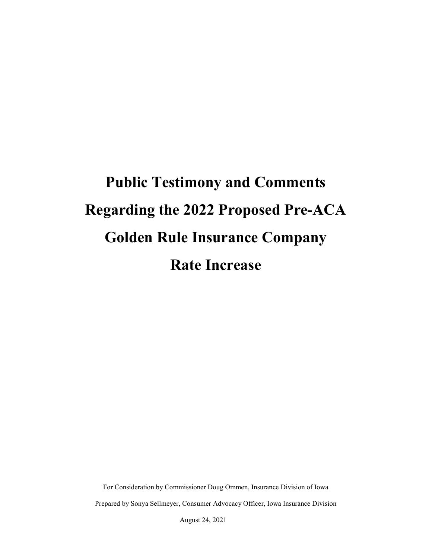# **Public Testimony and Comments Regarding the 2022 Proposed Pre-ACA Golden Rule Insurance Company Rate Increase**

For Consideration by Commissioner Doug Ommen, Insurance Division of Iowa Prepared by Sonya Sellmeyer, Consumer Advocacy Officer, Iowa Insurance Division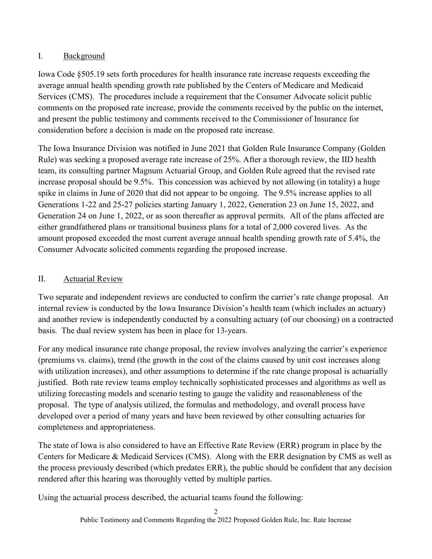# I. Background

Iowa Code §505.19 sets forth procedures for health insurance rate increase requests exceeding the average annual health spending growth rate published by the Centers of Medicare and Medicaid Services (CMS). The procedures include a requirement that the Consumer Advocate solicit public comments on the proposed rate increase, provide the comments received by the public on the internet, and present the public testimony and comments received to the Commissioner of Insurance for consideration before a decision is made on the proposed rate increase.

The Iowa Insurance Division was notified in June 2021 that Golden Rule Insurance Company (Golden Rule) was seeking a proposed average rate increase of 25%. After a thorough review, the IID health team, its consulting partner Magnum Actuarial Group, and Golden Rule agreed that the revised rate increase proposal should be 9.5%. This concession was achieved by not allowing (in totality) a huge spike in claims in June of 2020 that did not appear to be ongoing. The 9.5% increase applies to all Generations 1-22 and 25-27 policies starting January 1, 2022, Generation 23 on June 15, 2022, and Generation 24 on June 1, 2022, or as soon thereafter as approval permits. All of the plans affected are either grandfathered plans or transitional business plans for a total of 2,000 covered lives. As the amount proposed exceeded the most current average annual health spending growth rate of 5.4%, the Consumer Advocate solicited comments regarding the proposed increase.

## II. Actuarial Review

Two separate and independent reviews are conducted to confirm the carrier's rate change proposal. An internal review is conducted by the Iowa Insurance Division's health team (which includes an actuary) and another review is independently conducted by a consulting actuary (of our choosing) on a contracted basis. The dual review system has been in place for 13-years.

For any medical insurance rate change proposal, the review involves analyzing the carrier's experience (premiums vs. claims), trend (the growth in the cost of the claims caused by unit cost increases along with utilization increases), and other assumptions to determine if the rate change proposal is actuarially justified. Both rate review teams employ technically sophisticated processes and algorithms as well as utilizing forecasting models and scenario testing to gauge the validity and reasonableness of the proposal. The type of analysis utilized, the formulas and methodology, and overall process have developed over a period of many years and have been reviewed by other consulting actuaries for completeness and appropriateness.

The state of Iowa is also considered to have an Effective Rate Review (ERR) program in place by the Centers for Medicare & Medicaid Services (CMS). Along with the ERR designation by CMS as well as the process previously described (which predates ERR), the public should be confident that any decision rendered after this hearing was thoroughly vetted by multiple parties.

Using the actuarial process described, the actuarial teams found the following: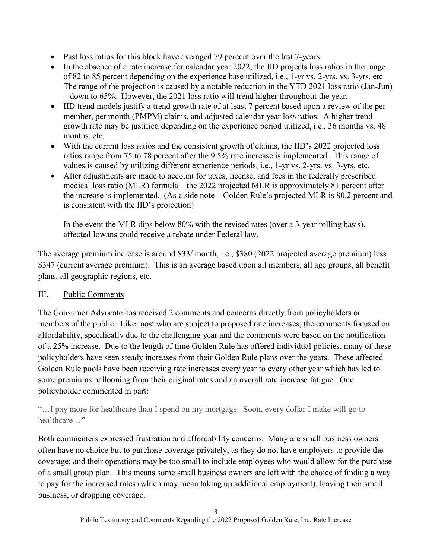- Past loss ratios for this block have averaged 79 percent over the last 7-years.
- In the absence of a rate increase for calendar year 2022, the IID projects loss ratios in the range of 82 to 85 percent depending on the experience base utilized, i.e., 1-yr vs. 2-yrs. vs. 3-yrs, etc. The range of the projection is caused by a notable reduction in the YTD 2021 loss ratio (Jan-Jun) – down to 65%. However, the 2021 loss ratio will trend higher throughout the year.
- IID trend models justify a trend growth rate of at least 7 percent based upon a review of the per member, per month (PMPM) claims, and adjusted calendar year loss ratios. A higher trend growth rate may be justified depending on the experience period utilized, i.e., 36 months vs. 48 months, etc.
- With the current loss ratios and the consistent growth of claims, the IID's 2022 projected loss ratios range from 75 to 78 percent after the 9.5% rate increase is implemented. This range of values is caused by utilizing different experience periods, i.e., 1-yr vs. 2-yrs. vs. 3-yrs, etc.
- After adjustments are made to account for taxes, license, and fees in the federally prescribed medical loss ratio (MLR) formula – the 2022 projected MLR is approximately 81 percent after the increase is implemented. (As a side note – Golden Rule's projected MLR is 80.2 percent and is consistent with the IID's projection)

In the event the MLR dips below 80% with the revised rates (over a 3-year rolling basis), affected Iowans could receive a rebate under Federal law.

The average premium increase is around \$33/ month, i.e., \$380 (2022 projected average premium) less \$347 (current average premium). This is an average based upon all members, all age groups, all benefit plans, all geographic regions, etc.

# III. Public Comments

The Consumer Advocate has received 2 comments and concerns directly from policyholders or members of the public. Like most who are subject to proposed rate increases, the comments focused on affordability, specifically due to the challenging year and the comments were based on the notification of a 25% increase. Due to the length of time Golden Rule has offered individual policies, many of these policyholders have seen steady increases from their Golden Rule plans over the years. These affected Golden Rule pools have been receiving rate increases every year to every other year which has led to some premiums ballooning from their original rates and an overall rate increase fatigue. One policyholder commented in part:

"…I pay more for healthcare than I spend on my mortgage. Soon, every dollar I make will go to healthcare…"

Both commenters expressed frustration and affordability concerns. Many are small business owners often have no choice but to purchase coverage privately, as they do not have employers to provide the coverage; and their operations may be too small to include employees who would allow for the purchase of a small group plan. This means some small business owners are left with the choice of finding a way to pay for the increased rates (which may mean taking up additional employment), leaving their small business, or dropping coverage.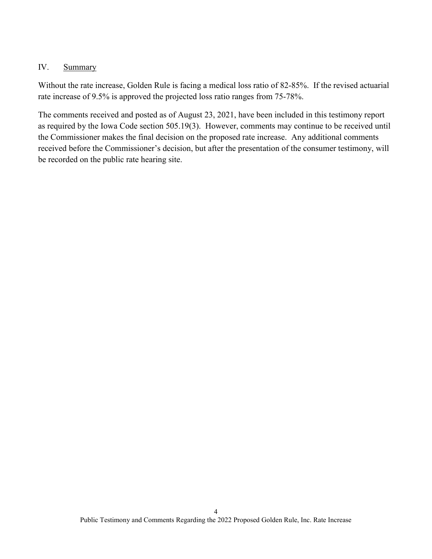#### IV. Summary

Without the rate increase, Golden Rule is facing a medical loss ratio of 82-85%. If the revised actuarial rate increase of 9.5% is approved the projected loss ratio ranges from 75-78%.

The comments received and posted as of August 23, 2021, have been included in this testimony report as required by the Iowa Code section 505.19(3). However, comments may continue to be received until the Commissioner makes the final decision on the proposed rate increase. Any additional comments received before the Commissioner's decision, but after the presentation of the consumer testimony, will be recorded on the public rate hearing site.